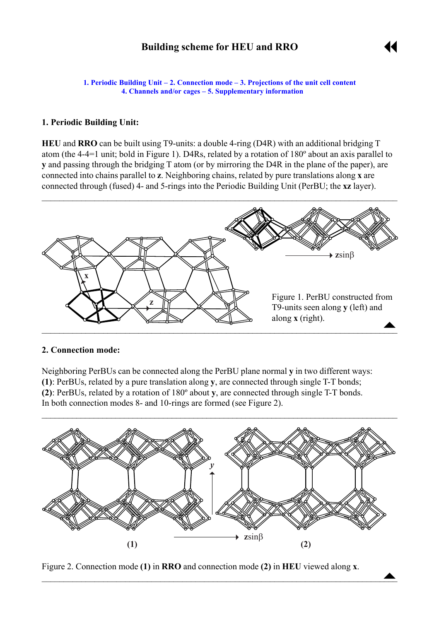# **Building scheme for HEU and RRO**

 $\begin{array}{c}\n\blacktriangle\n\end{array}$ 

<span id="page-0-0"></span>**1. Periodic Building Unit - 2. Connection mode - [3. Projections of the unit cell](#page-1-0) content [4. Channels and/or cages](#page-1-0) ñ [5. Supplementary information](#page-3-0)**

#### **1. Periodic Building Unit:**

**HEU** and **RRO** can be built using T9-units: a double 4-ring (D4R) with an additional bridging T atom (the 4-4=1 unit; bold in Figure 1). D4Rs, related by a rotation of 180º about an axis parallel to **y** and passing through the bridging T atom (or by mirroring the D4R in the plane of the paper), are connected into chains parallel to **z**. Neighboring chains, related by pure translations along **x** are connected through (fused) 4- and 5-rings into the Periodic Building Unit (PerBU; the **xz** layer).



#### **2. Connection mode:**

Neighboring PerBUs can be connected along the PerBU plane normal **y** in two different ways: **(1)**: PerBUs, related by a pure translation along **y**, are connected through single T-T bonds; **(2)**: PerBUs, related by a rotation of 180º about **y**, are connected through single T-T bonds. In both connection modes 8- and 10-rings are formed (see Figure 2).



 $\blacktriangle$  , and the contract of the contract of the contract of the contract of the contract of the contract of the contract of the contract of the contract of the contract of the contract of the contract of the contract of t

Figure 2. Connection mode **(1)** in **RRO** and connection mode **(2)** in **HEU** viewed along **x**.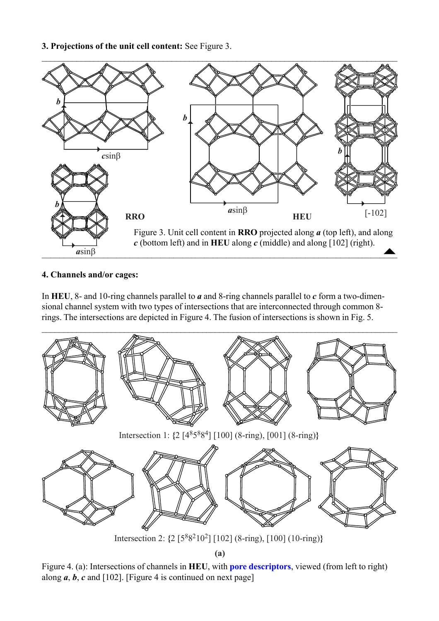### <span id="page-1-0"></span>**3. Projections of the unit cell content:** See Figure 3.



# **4. Channels and/or cages:**

In **HEU**, 8- and 10-ring channels parallel to *a* and 8-ring channels parallel to *c* form a two-dimensional channel system with two types of intersections that are interconnected through common 8 rings. The intersections are depicted in Figure 4. The fusion of intersections is shown in Fig. 5.



**(a)**

Figure 4. (a): Intersections of channels in **HEU**, with **[pore descriptors](http://www.iza-structure.org/databases/ModelBuilding/Introduction.pdf)**, viewed (from left to right) along  $a, b, c$  and [102]. [Figure 4 is continued on next page]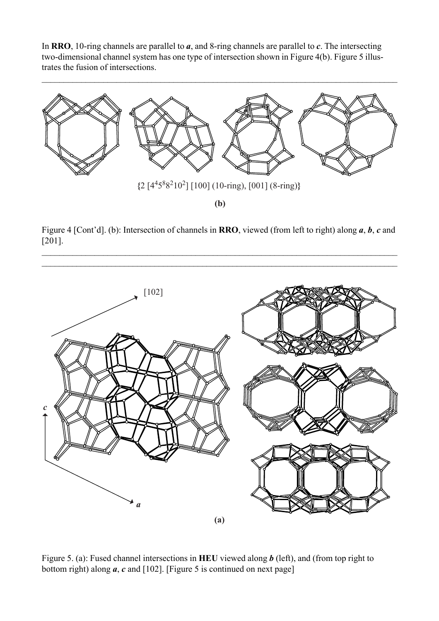In **RRO**, 10-ring channels are parallel to *a*, and 8-ring channels are parallel to *c*. The intersecting two-dimensional channel system has one type of intersection shown in Figure 4(b). Figure 5 illustrates the fusion of intersections.



Figure 4 [Cont'd]. (b): Intersection of channels in **RRO**, viewed (from left to right) along *a*, *b*, *c* and [201].

 $\mathcal{L}_\mathcal{L} = \{ \mathcal{L}_\mathcal{L} = \{ \mathcal{L}_\mathcal{L} = \{ \mathcal{L}_\mathcal{L} = \{ \mathcal{L}_\mathcal{L} = \{ \mathcal{L}_\mathcal{L} = \{ \mathcal{L}_\mathcal{L} = \{ \mathcal{L}_\mathcal{L} = \{ \mathcal{L}_\mathcal{L} = \{ \mathcal{L}_\mathcal{L} = \{ \mathcal{L}_\mathcal{L} = \{ \mathcal{L}_\mathcal{L} = \{ \mathcal{L}_\mathcal{L} = \{ \mathcal{L}_\mathcal{L} = \{ \mathcal{L}_\mathcal{$ 



Figure 5. (a): Fused channel intersections in **HEU** viewed along *b* (left), and (from top right to bottom right) along *a*, *c* and [102]. [Figure 5 is continued on next page]